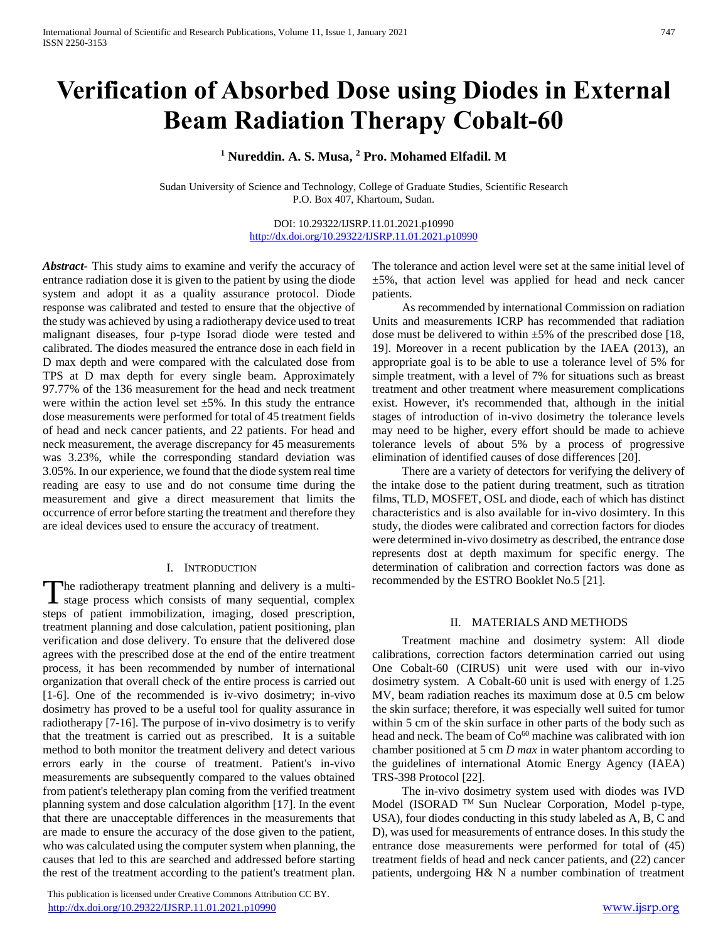# **Verification of Absorbed Dose using Diodes in External Beam Radiation Therapy Cobalt-60**

# **<sup>1</sup> Nureddin. A. S. Musa, <sup>2</sup> Pro. Mohamed Elfadil. M**

Sudan University of Science and Technology, College of Graduate Studies, Scientific Research P.O. Box 407, Khartoum, Sudan.

> DOI: 10.29322/IJSRP.11.01.2021.p10990 <http://dx.doi.org/10.29322/IJSRP.11.01.2021.p10990>

*Abstract***-** This study aims to examine and verify the accuracy of entrance radiation dose it is given to the patient by using the diode system and adopt it as a quality assurance protocol. Diode response was calibrated and tested to ensure that the objective of the study was achieved by using a radiotherapy device used to treat malignant diseases, four p-type Isorad diode were tested and calibrated. The diodes measured the entrance dose in each field in D max depth and were compared with the calculated dose from TPS at D max depth for every single beam. Approximately 97.77% of the 136 measurement for the head and neck treatment were within the action level set  $\pm 5\%$ . In this study the entrance dose measurements were performed for total of 45 treatment fields of head and neck cancer patients, and 22 patients. For head and neck measurement, the average discrepancy for 45 measurements was 3.23%, while the corresponding standard deviation was 3.05%. In our experience, we found that the diode system real time reading are easy to use and do not consume time during the measurement and give a direct measurement that limits the occurrence of error before starting the treatment and therefore they are ideal devices used to ensure the accuracy of treatment.

#### I. INTRODUCTION

The radiotherapy treatment planning and delivery is a multi-<br>stage process which consists of many sequential, complex  $\blacktriangle$  stage process which consists of many sequential, complex steps of patient immobilization, imaging, dosed prescription, treatment planning and dose calculation, patient positioning, plan verification and dose delivery. To ensure that the delivered dose agrees with the prescribed dose at the end of the entire treatment process, it has been recommended by number of international organization that overall check of the entire process is carried out [1-6]. One of the recommended is iv-vivo dosimetry; in-vivo dosimetry has proved to be a useful tool for quality assurance in radiotherapy [7-16]. The purpose of in-vivo dosimetry is to verify that the treatment is carried out as prescribed. It is a suitable method to both monitor the treatment delivery and detect various errors early in the course of treatment. Patient's in-vivo measurements are subsequently compared to the values obtained from patient's teletherapy plan coming from the verified treatment planning system and dose calculation algorithm [17]. In the event that there are unacceptable differences in the measurements that are made to ensure the accuracy of the dose given to the patient, who was calculated using the computer system when planning, the causes that led to this are searched and addressed before starting the rest of the treatment according to the patient's treatment plan.

 This publication is licensed under Creative Commons Attribution CC BY. <http://dx.doi.org/10.29322/IJSRP.11.01.2021.p10990> [www.ijsrp.org](http://ijsrp.org/)

The tolerance and action level were set at the same initial level of ±5%, that action level was applied for head and neck cancer patients.

 As recommended by international Commission on radiation Units and measurements ICRP has recommended that radiation dose must be delivered to within  $\pm 5\%$  of the prescribed dose [18, 19]. Moreover in a recent publication by the IAEA (2013), an appropriate goal is to be able to use a tolerance level of 5% for simple treatment, with a level of 7% for situations such as breast treatment and other treatment where measurement complications exist. However, it's recommended that, although in the initial stages of introduction of in-vivo dosimetry the tolerance levels may need to be higher, every effort should be made to achieve tolerance levels of about 5% by a process of progressive elimination of identified causes of dose differences [20].

 There are a variety of detectors for verifying the delivery of the intake dose to the patient during treatment, such as titration films, TLD, MOSFET, OSL and diode, each of which has distinct characteristics and is also available for in-vivo dosimtery. In this study, the diodes were calibrated and correction factors for diodes were determined in-vivo dosimetry as described, the entrance dose represents dost at depth maximum for specific energy. The determination of calibration and correction factors was done as recommended by the ESTRO Booklet No.5 [21].

## II. MATERIALS AND METHODS

 Treatment machine and dosimetry system: All diode calibrations, correction factors determination carried out using One Cobalt-60 (CIRUS) unit were used with our in-vivo dosimetry system. A Cobalt-60 unit is used with energy of 1.25 MV, beam radiation reaches its maximum dose at 0.5 cm below the skin surface; therefore, it was especially well suited for tumor within 5 cm of the skin surface in other parts of the body such as head and neck. The beam of Co<sup>60</sup> machine was calibrated with ion chamber positioned at 5 cm *D max* in water phantom according to the guidelines of international Atomic Energy Agency (IAEA) TRS-398 Protocol [22].

 The in-vivo dosimetry system used with diodes was IVD Model (ISORAD TM Sun Nuclear Corporation, Model p-type, USA), four diodes conducting in this study labeled as A, B, C and D), was used for measurements of entrance doses. In this study the entrance dose measurements were performed for total of (45) treatment fields of head and neck cancer patients, and (22) cancer patients, undergoing H& N a number combination of treatment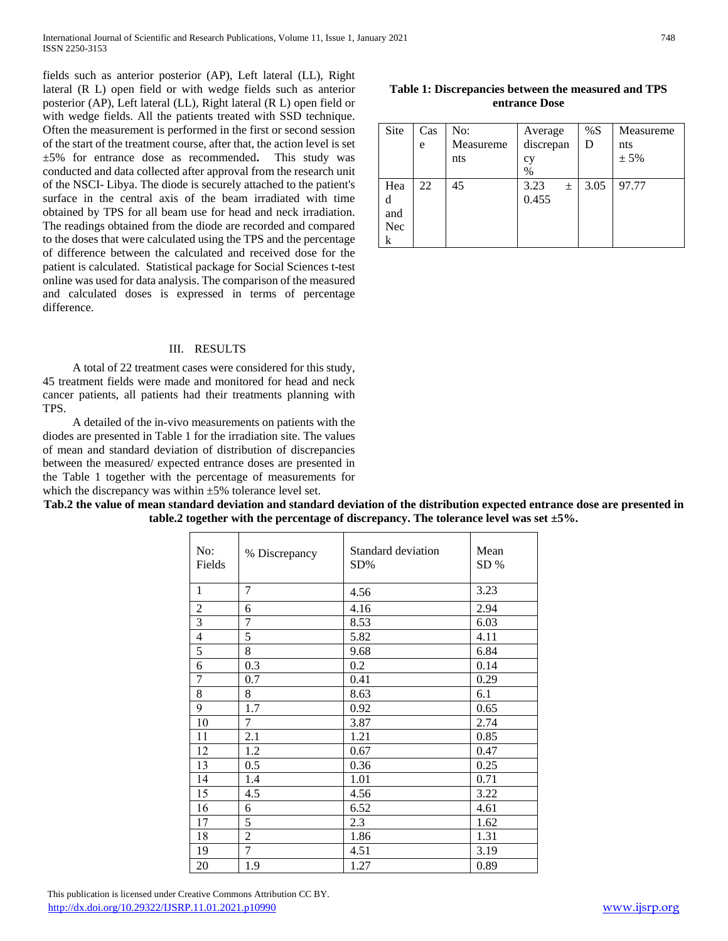fields such as anterior posterior (AP), Left lateral (LL), Right lateral (R L) open field or with wedge fields such as anterior posterior (AP), Left lateral (LL), Right lateral (R L) open field or with wedge fields. All the patients treated with SSD technique. Often the measurement is performed in the first or second session of the start of the treatment course, after that, the action level is set ±5% for entrance dose as recommended**.** This study was conducted and data collected after approval from the research unit of the NSCI- Libya. The diode is securely attached to the patient's surface in the central axis of the beam irradiated with time obtained by TPS for all beam use for head and neck irradiation. The readings obtained from the diode are recorded and compared to the doses that were calculated using the TPS and the percentage of difference between the calculated and received dose for the patient is calculated. Statistical package for Social Sciences t-test online was used for data analysis. The comparison of the measured and calculated doses is expressed in terms of percentage difference.

#### III. RESULTS

 A total of 22 treatment cases were considered for this study, 45 treatment fields were made and monitored for head and neck cancer patients, all patients had their treatments planning with TPS.

 A detailed of the in-vivo measurements on patients with the diodes are presented in Table 1 for the irradiation site. The values of mean and standard deviation of distribution of discrepancies between the measured/ expected entrance doses are presented in the Table 1 together with the percentage of measurements for which the discrepancy was within  $\pm 5\%$  tolerance level set.

 $\blacksquare$ 

**Tab.2 the value of mean standard deviation and standard deviation of the distribution expected entrance dose are presented in table.2 together with the percentage of discrepancy. The tolerance level was set ±5%.**

 $\top$ 

| No:<br>Fields  | % Discrepancy  | Standard deviation<br>SD% | Mean<br>SD% |
|----------------|----------------|---------------------------|-------------|
| $\mathbf{1}$   | $\overline{7}$ | 4.56                      | 3.23        |
|                | 6              | 4.16                      | 2.94        |
| $\frac{2}{3}$  | 7              | 8.53                      | 6.03        |
| $\overline{4}$ | 5              | 5.82                      | 4.11        |
| $\overline{5}$ | 8              | 9.68                      | 6.84        |
| 6              | 0.3            | 0.2                       | 0.14        |
| $\overline{7}$ | 0.7            | 0.41                      | 0.29        |
| $8\,$          | 8              | 8.63                      | 6.1         |
| 9              | 1.7            | 0.92                      | 0.65        |
| 10             | 7              | 3.87                      | 2.74        |
| 11             | 2.1            | 1.21                      | 0.85        |
| 12             | 1.2            | 0.67                      | 0.47        |
| 13             | 0.5            | 0.36                      | 0.25        |
| 14             | 1.4            | 1.01                      | 0.71        |
| 15             | 4.5            | 4.56                      | 3.22        |
| 16             | 6              | 6.52                      | 4.61        |
| 17             | 5              | 2.3                       | 1.62        |
| 18             | $\overline{2}$ | 1.86                      | 1.31        |
| 19             | $\overline{7}$ | 4.51                      | 3.19        |
| 20             | 1.9            | 1.27                      | 0.89        |

| Table 1: Discrepancies between the measured and TPS |  |  |  |  |
|-----------------------------------------------------|--|--|--|--|
| entrance Dose                                       |  |  |  |  |

| Site                        | Cas<br>e | No:<br>Measureme<br>nts | Average<br>discrepan<br>cy<br>$\%$ | %S<br>D | Measureme<br>nts<br>± 5% |
|-----------------------------|----------|-------------------------|------------------------------------|---------|--------------------------|
| Hea<br>d<br>and<br>Nec<br>k | 22       | 45                      | 3.23<br>$\pm$<br>0.455             | 3.05    | 97.77                    |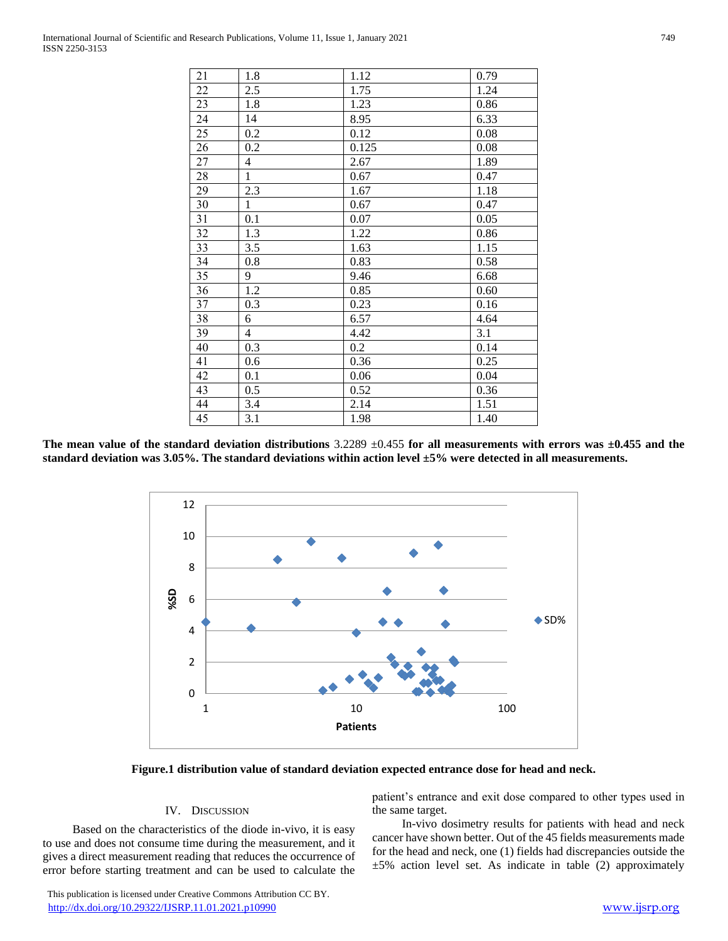| 21 | 1.8          | 1.12  | 0.79 |
|----|--------------|-------|------|
| 22 | 2.5          | 1.75  | 1.24 |
| 23 | 1.8          | 1.23  | 0.86 |
| 24 | 14           | 8.95  | 6.33 |
| 25 | 0.2          | 0.12  | 0.08 |
| 26 | 0.2          | 0.125 | 0.08 |
| 27 | 4            | 2.67  | 1.89 |
| 28 | $\mathbf{1}$ | 0.67  | 0.47 |
| 29 | 2.3          | 1.67  | 1.18 |
| 30 | $\mathbf{1}$ | 0.67  | 0.47 |
| 31 | 0.1          | 0.07  | 0.05 |
| 32 | 1.3          | 1.22  | 0.86 |
| 33 | 3.5          | 1.63  | 1.15 |
| 34 | 0.8          | 0.83  | 0.58 |
| 35 | 9            | 9.46  | 6.68 |
| 36 | 1.2          | 0.85  | 0.60 |
| 37 | 0.3          | 0.23  | 0.16 |
| 38 | 6            | 6.57  | 4.64 |
| 39 | 4            | 4.42  | 3.1  |
| 40 | 0.3          | 0.2   | 0.14 |
| 41 | 0.6          | 0.36  | 0.25 |
| 42 | 0.1          | 0.06  | 0.04 |
| 43 | 0.5          | 0.52  | 0.36 |
| 44 | 3.4          | 2.14  | 1.51 |
| 45 | 3.1          | 1.98  | 1.40 |

**The mean value of the standard deviation distributions** 3.2289 ±0.455 **for all measurements with errors was ±0.455 and the standard deviation was 3.05%. The standard deviations within action level ±5% were detected in all measurements.** 



**Figure.1 distribution value of standard deviation expected entrance dose for head and neck.**

#### IV. DISCUSSION

 Based on the characteristics of the diode in-vivo, it is easy to use and does not consume time during the measurement, and it gives a direct measurement reading that reduces the occurrence of error before starting treatment and can be used to calculate the

 This publication is licensed under Creative Commons Attribution CC BY. <http://dx.doi.org/10.29322/IJSRP.11.01.2021.p10990> [www.ijsrp.org](http://ijsrp.org/)

patient's entrance and exit dose compared to other types used in the same target.

 In-vivo dosimetry results for patients with head and neck cancer have shown better. Out of the 45 fields measurements made for the head and neck, one (1) fields had discrepancies outside the  $±5%$  action level set. As indicate in table (2) approximately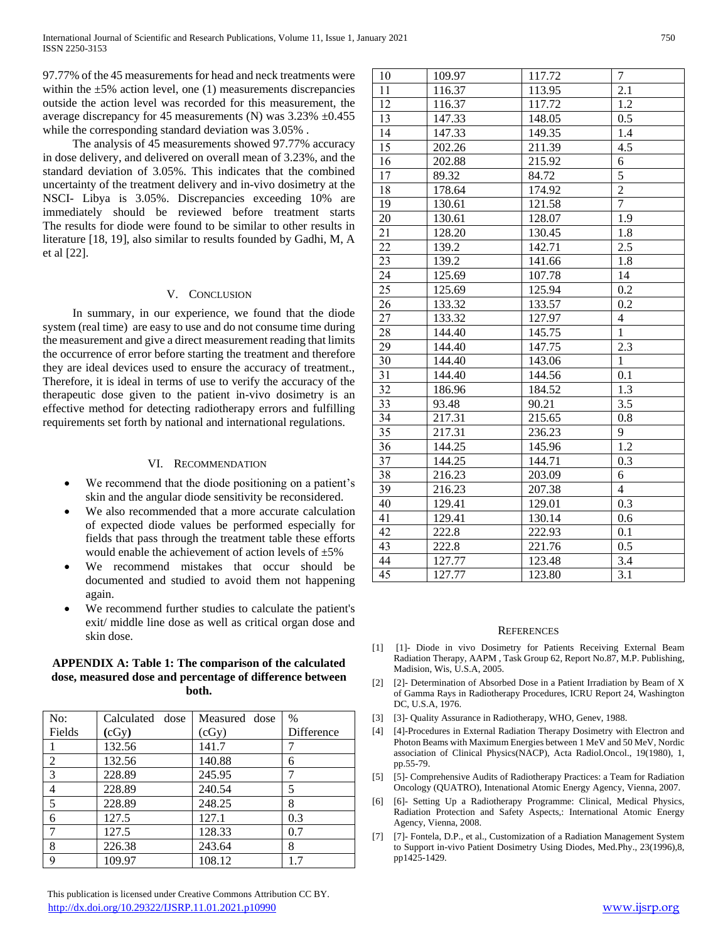97.77% of the 45 measurements for head and neck treatments were within the  $\pm 5\%$  action level, one (1) measurements discrepancies outside the action level was recorded for this measurement, the average discrepancy for 45 measurements (N) was 3.23% ±0.455 while the corresponding standard deviation was 3.05% .

 The analysis of 45 measurements showed 97.77% accuracy in dose delivery, and delivered on overall mean of 3.23%, and the standard deviation of 3.05%. This indicates that the combined uncertainty of the treatment delivery and in-vivo dosimetry at the NSCI- Libya is 3.05%. Discrepancies exceeding 10% are immediately should be reviewed before treatment starts The results for diode were found to be similar to other results in literature [18, 19], also similar to results founded by Gadhi, M, A et al [22].

#### V. CONCLUSION

 In summary, in our experience, we found that the diode system (real time) are easy to use and do not consume time during the measurement and give a direct measurement reading that limits the occurrence of error before starting the treatment and therefore they are ideal devices used to ensure the accuracy of treatment., Therefore, it is ideal in terms of use to verify the accuracy of the therapeutic dose given to the patient in-vivo dosimetry is an effective method for detecting radiotherapy errors and fulfilling requirements set forth by national and international regulations.

#### VI. RECOMMENDATION

- We recommend that the diode positioning on a patient's skin and the angular diode sensitivity be reconsidered.
- We also recommended that a more accurate calculation of expected diode values be performed especially for fields that pass through the treatment table these efforts would enable the achievement of action levels of  $\pm 5\%$
- We recommend mistakes that occur should be documented and studied to avoid them not happening again.
- We recommend further studies to calculate the patient's exit/ middle line dose as well as critical organ dose and skin dose.

### **APPENDIX A: Table 1: The comparison of the calculated dose, measured dose and percentage of difference between both.**

| No:            | Calculated dose | Measured dose | $\%$       |
|----------------|-----------------|---------------|------------|
| Fields         | (cGy)           | (cGy)         | Difference |
|                | 132.56          | 141.7         |            |
| $\overline{2}$ | 132.56          | 140.88        | 6          |
| 3              | 228.89          | 245.95        | 7          |
| 4              | 228.89          | 240.54        | 5          |
| 5              | 228.89          | 248.25        | 8          |
| 6              | 127.5           | 127.1         | 0.3        |
|                | 127.5           | 128.33        | 0.7        |
| 8              | 226.38          | 243.64        | 8          |
| 9              | 109.97          | 108.12        | 17         |

| 10              | 109.97 | 117.72 | $\tau$                   |
|-----------------|--------|--------|--------------------------|
| 11              | 116.37 | 113.95 | $\overline{2.1}$         |
| 12              | 116.37 | 117.72 | 1.2                      |
| 13              | 147.33 | 148.05 | 0.5                      |
| 14              | 147.33 | 149.35 | 1.4                      |
| 15              | 202.26 | 211.39 | 4.5                      |
| 16              | 202.88 | 215.92 | 6                        |
| 17              | 89.32  | 84.72  | $\overline{5}$           |
| $\overline{18}$ | 178.64 | 174.92 | $\overline{2}$           |
| 19              | 130.61 | 121.58 | 7                        |
| 20              | 130.61 | 128.07 | $\overline{1.9}$         |
| 21              | 128.20 | 130.45 | 1.8                      |
| $\overline{22}$ | 139.2  | 142.71 | 2.5                      |
| 23              | 139.2  | 141.66 | $1.8\,$                  |
| 24              | 125.69 | 107.78 | 14                       |
| 25              | 125.69 | 125.94 | 0.2                      |
| 26              | 133.32 | 133.57 | 0.2                      |
| 27              | 133.32 | 127.97 | $\overline{\mathcal{L}}$ |
| 28              | 144.40 | 145.75 | $\mathbf{1}$             |
| 29              | 144.40 | 147.75 | 2.3                      |
| 30              | 144.40 | 143.06 | $\mathbf{1}$             |
| $\overline{31}$ | 144.40 | 144.56 | 0.1                      |
| $\overline{32}$ | 186.96 | 184.52 | 1.3                      |
| 33              | 93.48  | 90.21  | $\overline{3.5}$         |
| $\overline{34}$ | 217.31 | 215.65 | 0.8                      |
| 35              | 217.31 | 236.23 | 9                        |
| $\overline{36}$ | 144.25 | 145.96 | $\overline{1.2}$         |
| 37              | 144.25 | 144.71 | 0.3                      |
| $\overline{38}$ | 216.23 | 203.09 | 6                        |
| 39              | 216.23 | 207.38 | $\overline{4}$           |
| 40              | 129.41 | 129.01 | 0.3                      |
| 41              | 129.41 | 130.14 | 0.6                      |
| $\overline{42}$ | 222.8  | 222.93 | 0.1                      |
| 43              | 222.8  | 221.76 | 0.5                      |
| 44              | 127.77 | 123.48 | 3.4                      |
| 45              | 127.77 | 123.80 | $\overline{3.1}$         |
|                 |        |        |                          |

#### **REFERENCES**

- [1] [1]- Diode in vivo Dosimetry for Patients Receiving External Beam Radiation Therapy, AAPM , Task Group 62, Report No.87, M.P. Publishing, Madision, Wis, U.S.A, 2005.
- [2] [2]- Determination of Absorbed Dose in a Patient Irradiation by Beam of X of Gamma Rays in Radiotherapy Procedures, ICRU Report 24, Washington DC, U.S.A, 1976.
- [3] [3]- Quality Assurance in Radiotherapy, WHO, Genev, 1988.
- [4] [4]-Procedures in External Radiation Therapy Dosimetry with Electron and Photon Beams with Maximum Energies between 1 MeV and 50 MeV, Nordic association of Clinical Physics(NACP), Acta Radiol.Oncol., 19(1980), 1, pp.55-79.
- [5] [5]- Comprehensive Audits of Radiotherapy Practices: a Team for Radiation Oncology (QUATRO), Intenational Atomic Energy Agency, Vienna, 2007.
- [6] [6]- Setting Up a Radiotherapy Programme: Clinical, Medical Physics, Radiation Protection and Safety Aspects,: International Atomic Energy Agency, Vienna, 2008.
- [7] [7]- Fontela, D.P., et al., Customization of a Radiation Management System to Support in-vivo Patient Dosimetry Using Diodes, Med.Phy., 23(1996),8, pp1425-1429.